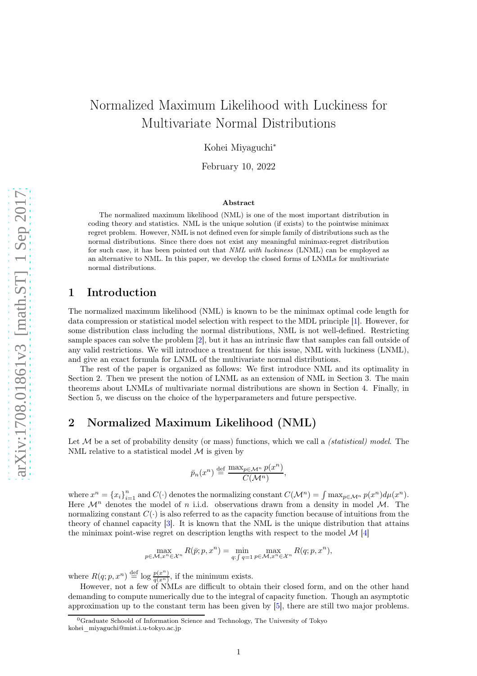# Normalized Maximum Likelihood with Luckiness for Multivariate Normal Distributions

Kohei Miyaguchi<sup>∗</sup>

February 10, 2022

#### Abstract

The normalized maximum likelihood (NML) is one of the most important distribution in coding theory and statistics. NML is the unique solution (if exists) to the pointwise minimax regret problem. However, NML is not defined even for simple family of distributions such as the normal distributions. Since there does not exist any meaningful minimax-regret distribution for such case, it has been pointed out that NML with luckiness (LNML) can be employed as an alternative to NML. In this paper, we develop the closed forms of LNMLs for multivariate normal distributions.

## 1 Introduction

The normalized maximum likelihood (NML) is known to be the minimax optimal code length for data compression or statistical model selection with respect to the MDL principle [\[1\]](#page-4-0). However, for some distribution class including the normal distributions, NML is not well-defined. Restricting sample spaces can solve the problem [\[2\]](#page-4-1), but it has an intrinsic flaw that samples can fall outside of any valid restrictions. We will introduce a treatment for this issue, NML with luckiness (LNML), and give an exact formula for LNML of the multivariate normal distributions.

The rest of the paper is organized as follows: We first introduce NML and its optimality in Section 2. Then we present the notion of LNML as an extension of NML in Section 3. The main theorems about LNMLs of multivariate normal distributions are shown in Section 4. Finally, in Section 5, we discuss on the choice of the hyperparameters and future perspective.

### 2 Normalized Maximum Likelihood (NML)

Let  $\mathcal M$  be a set of probability density (or mass) functions, which we call a *(statistical) model*. The NML relative to a statistical model  $M$  is given by

$$
\bar{p}_n(x^n) \stackrel{\text{def}}{=} \frac{\max_{p \in \mathcal{M}^n} p(x^n)}{C(\mathcal{M}^n)},
$$

where  $x^n = \{x_i\}_{i=1}^n$  and  $C(\cdot)$  denotes the normalizing constant  $C(\mathcal{M}^n) = \int \max_{p \in \mathcal{M}^n} p(x^n) d\mu(x^n)$ . Here  $\mathcal{M}^n$  denotes the model of n i.i.d. observations drawn from a density in model M. The normalizing constant  $C(\cdot)$  is also referred to as the capacity function because of intuitions from the theory of channel capacity [\[3\]](#page-4-2). It is known that the NML is the unique distribution that attains the minimax point-wise regret on description lengths with respect to the model  $\mathcal{M}$  [\[4\]](#page-4-3)

$$
\max_{p \in \mathcal{M}, x^n \in \mathcal{X}^n} R(\bar{p}; p, x^n) = \min_{q: \int q = 1} \max_{p \in \mathcal{M}, x^n \in \mathcal{X}^n} R(q; p, x^n),
$$

where  $R(q; p, x^n) \stackrel{\text{def}}{=} \log \frac{p(x^n)}{q(x^n)}$  $\frac{p(x)}{q(x^n)}$ , if the minimum exists.

However, not a few of NMLs are difficult to obtain their closed form, and on the other hand demanding to compute numerically due to the integral of capacity function. Though an asymptotic approximation up to the constant term has been given by [\[5\]](#page-5-0), there are still two major problems.

 $\overline{0}$ Graduate Schoold of Information Science and Technology, The University of Tokyo kohei\_miyaguchi@mist.i.u-tokyo.ac.jp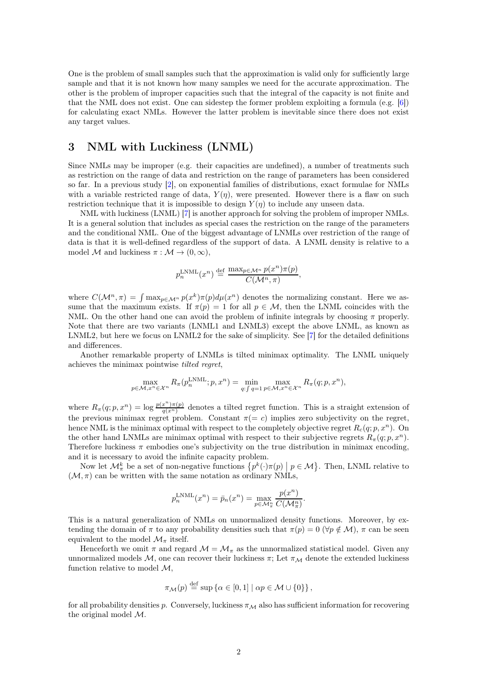One is the problem of small samples such that the approximation is valid only for sufficiently large sample and that it is not known how many samples we need for the accurate approximation. The other is the problem of improper capacities such that the integral of the capacity is not finite and that the NML does not exist. One can sidestep the former problem exploiting a formula (e.g. [\[6\]](#page-5-1)) for calculating exact NMLs. However the latter problem is inevitable since there does not exist any target values.

# 3 NML with Luckiness (LNML)

Since NMLs may be improper (e.g. their capacities are undefined), a number of treatments such as restriction on the range of data and restriction on the range of parameters has been considered so far. In a previous study [\[2\]](#page-4-1), on exponential families of distributions, exact formulae for NMLs with a variable restricted range of data,  $Y(\eta)$ , were presented. However there is a flaw on such restriction technique that it is impossible to design  $Y(\eta)$  to include any unseen data.

NML with luckiness (LNML) [\[7\]](#page-5-2) is another approach for solving the problem of improper NMLs. It is a general solution that includes as special cases the restriction on the range of the parameters and the conditional NML. One of the biggest advantage of LNMLs over restriction of the range of data is that it is well-defined regardless of the support of data. A LNML density is relative to a model M and luckiness  $\pi : \mathcal{M} \to (0, \infty)$ ,

$$
p_n^{\text{LNML}}(x^n) \stackrel{\text{def}}{=} \frac{\max_{p \in \mathcal{M}^n} p(x^n) \pi(p)}{C(\mathcal{M}^n, \pi)},
$$

where  $C(\mathcal{M}^n, \pi) = \int \max_{p \in \mathcal{M}^n} p(x^k) \pi(p) d\mu(x^n)$  denotes the normalizing constant. Here we assume that the maximum exists. If  $\pi(p) = 1$  for all  $p \in \mathcal{M}$ , then the LNML coincides with the NML. On the other hand one can avoid the problem of infinite integrals by choosing  $\pi$  properly. Note that there are two variants (LNML1 and LNML3) except the above LNML, as known as LNML2, but here we focus on LNML2 for the sake of simplicity. See [\[7\]](#page-5-2) for the detailed definitions and differences.

Another remarkable property of LNMLs is tilted minimax optimality. The LNML uniquely achieves the minimax pointwise tilted regret,

$$
\max_{p \in \mathcal{M}, x^n \in \mathcal{X}^n} R_{\pi}(p_n^{\text{LNML}}; p, x^n) = \min_{q: \int q = 1} \max_{p \in \mathcal{M}, x^n \in \mathcal{X}^n} R_{\pi}(q; p, x^n),
$$

where  $R_{\pi}(q; p, x^n) = \log \frac{p(x^n) \pi(p)}{q(x^n)}$  $\frac{d(x^n)}{q(x^n)}$  denotes a tilted regret function. This is a straight extension of the previous minimax regret problem. Constant  $\pi (= c)$  implies zero subjectivity on the regret, hence NML is the minimax optimal with respect to the completely objective regret  $R_c(q;p,x^n)$ . On the other hand LNMLs are minimax optimal with respect to their subjective regrets  $R_{\pi}(q;p,x^n)$ . Therefore luckiness  $\pi$  embodies one's subjectivity on the true distribution in minimax encoding, and it is necessary to avoid the infinite capacity problem.

Now let  $\mathcal{M}_{\pi}^{k}$  be a set of non-negative functions  $\{p^{k}(\cdot)\pi(p) \mid p \in \mathcal{M}\}\)$ . Then, LNML relative to  $(\mathcal{M}, \pi)$  can be written with the same notation as ordinary NMLs,

$$
p_n^{\text{LNML}}(x^n) = \bar{p}_n(x^n) = \max_{p \in \mathcal{M}_n^n} \frac{p(x^n)}{C(\mathcal{M}_n^n)}.
$$

This is a natural generalization of NMLs on unnormalized density functions. Moreover, by extending the domain of  $\pi$  to any probability densities such that  $\pi(p) = 0$  ( $\forall p \notin \mathcal{M}$ ),  $\pi$  can be seen equivalent to the model  $\mathcal{M}_{\pi}$  itself.

Henceforth we omit  $\pi$  and regard  $\mathcal{M} = \mathcal{M}_{\pi}$  as the unnormalized statistical model. Given any unnormalized models M, one can recover their luckiness  $\pi$ ; Let  $\pi_M$  denote the extended luckiness function relative to model  $M$ ,

$$
\pi_{\mathcal{M}}(p) \stackrel{\text{def}}{=} \sup \left\{ \alpha \in [0,1] \mid \alpha p \in \mathcal{M} \cup \{0\} \right\},\
$$

for all probability densities p. Conversely, luckiness  $\pi_{\mathcal{M}}$  also has sufficient information for recovering the original model  $\mathcal{M}$ .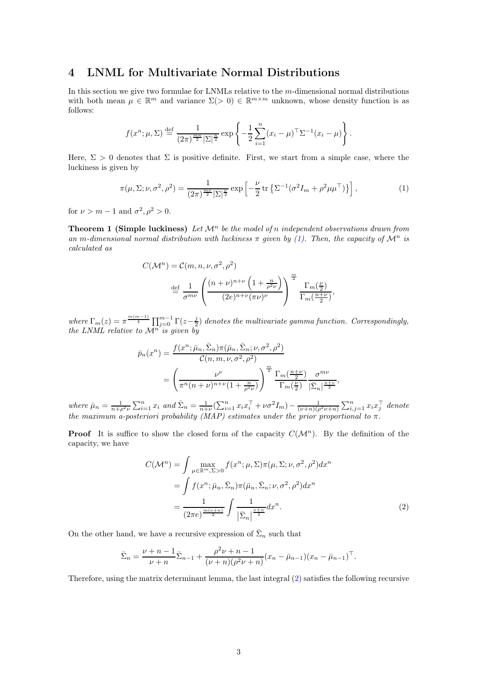### 4 LNML for Multivariate Normal Distributions

In this section we give two formulae for LNMLs relative to the m-dimensional normal distributions with both mean  $\mu \in \mathbb{R}^m$  and variance  $\Sigma(>0) \in \mathbb{R}^{m \times m}$  unknown, whose density function is as follows:

$$
f(x^n; \mu, \Sigma) \stackrel{\text{def}}{=} \frac{1}{(2\pi)^{\frac{mn}{2}} |\Sigma|^{\frac{n}{2}}} \exp \left\{ -\frac{1}{2} \sum_{i=1}^n (x_i - \mu)^{\top} \Sigma^{-1} (x_i - \mu) \right\}.
$$

Here,  $\Sigma > 0$  denotes that  $\Sigma$  is positive definite. First, we start from a simple case, where the luckiness is given by

$$
\pi(\mu, \Sigma; \nu, \sigma^2, \rho^2) = \frac{1}{(2\pi)^{\frac{m\nu}{2}} |\Sigma|^{\frac{\nu}{2}}} \exp\left[-\frac{\nu}{2} \operatorname{tr}\left\{\Sigma^{-1} (\sigma^2 I_m + \rho^2 \mu \mu^\top)\right\}\right],\tag{1}
$$

for  $\nu > m - 1$  and  $\sigma^2, \rho^2 > 0$ .

**Theorem 1 (Simple luckiness)** Let  $\mathcal{M}^n$  be the model of n independent observations drawn from an m-dimensional normal distribution with luckiness  $\pi$  given by [\(1\)](#page-2-0). Then, the capacity of  $\mathcal{M}^n$  is calculated as

<span id="page-2-0"></span>
$$
C(\mathcal{M}^n) = C(m, n, \nu, \sigma^2, \rho^2)
$$

$$
\stackrel{\text{def}}{=} \frac{1}{\sigma^{m\nu}} \left( \frac{(n+\nu)^{n+\nu} \left(1 + \frac{n}{\rho^2 \nu}\right)}{(2e)^{n+\nu} (\pi \nu)^{\nu}} \right)^{\frac{m}{2}} \frac{\Gamma_m(\frac{\nu}{2})}{\Gamma_m(\frac{n+\nu}{2})},
$$

where  $\Gamma_m(z) = \pi^{\frac{m(m-1)}{4}} \prod_{j=0}^{m-1} \Gamma(z-\frac{j}{2})$  denotes the multivariate gamma function. Correspondingly, the LNML relative to  $\mathcal{M}^{n'}$  is given by

$$
\bar{p}_n(x^n) = \frac{f(x^n; \bar{\mu}_n, \bar{\Sigma}_n) \pi(\bar{\mu}_n, \bar{\Sigma}_n; \nu, \sigma^2, \rho^2)}{\mathcal{C}(n, m, \nu, \sigma^2, \rho^2)} \n= \left(\frac{\nu^{\nu}}{\pi^n (n + \nu)^{n + \nu} (1 + \frac{n}{\rho^2 \nu})}\right)^{\frac{m}{2}} \frac{\Gamma_m(\frac{n + \nu}{2})}{\Gamma_m(\frac{\nu}{2})} \frac{\sigma^{m\nu}}{|\bar{\Sigma}_n|^{\frac{n + \nu}{2}}},
$$

where  $\bar{\mu}_n = \frac{1}{n+\rho^2\nu} \sum_{i=1}^n x_i$  and  $\bar{\Sigma}_n = \frac{1}{n+\nu} (\sum_{i=1}^n x_i x_i^\top + \nu \sigma^2 I_m) - \frac{1}{(\nu+n)(\rho^2 \nu+n)} \sum_{i,j=1}^n x_i x_j^\top$  denote the maximum a-posteriori probability (MAP) estimates under the prior proportional to  $\pi$ .

**Proof** It is suffice to show the closed form of the capacity  $C(\mathcal{M}^n)$ . By the definition of the capacity, we have

<span id="page-2-1"></span>
$$
C(\mathcal{M}^n) = \int \max_{\mu \in \mathbb{R}^m, \Sigma > 0} f(x^n; \mu, \Sigma) \pi(\mu, \Sigma; \nu, \sigma^2, \rho^2) dx^n
$$
  
= 
$$
\int f(x^n; \bar{\mu}_n, \bar{\Sigma}_n) \pi(\bar{\mu}_n, \bar{\Sigma}_n; \nu, \sigma^2, \rho^2) dx^n
$$
  
= 
$$
\frac{1}{(2\pi e)^{\frac{m(\nu+n)}{2}}} \int \frac{1}{|\bar{\Sigma}_n|^{\frac{\nu+n}{2}}} dx^n.
$$
 (2)

On the other hand, we have a recursive expression of  $\bar{\Sigma}_n$  such that

$$
\bar{\Sigma}_n = \frac{\nu + n - 1}{\nu + n} \bar{\Sigma}_{n-1} + \frac{\rho^2 \nu + n - 1}{(\nu + n)(\rho^2 \nu + n)} (x_n - \bar{\mu}_{n-1})(x_n - \bar{\mu}_{n-1})^\top.
$$

Therefore, using the matrix determinant lemma, the last integral [\(2\)](#page-2-1) satisfies the following recursive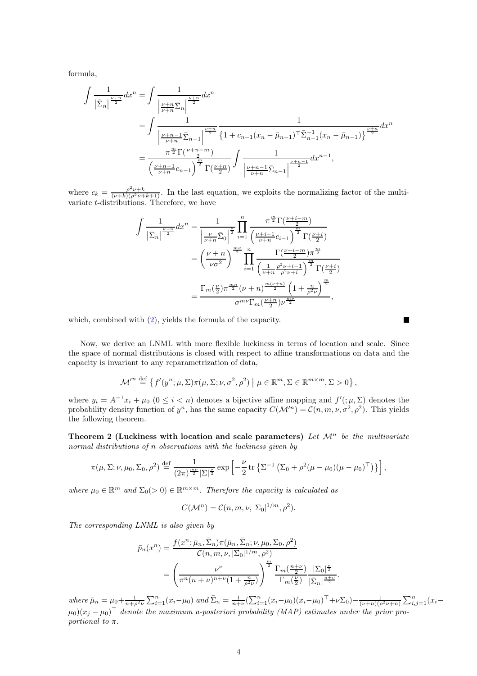formula,

$$
\int \frac{1}{|\bar{\Sigma}_n|^{\frac{\nu+n}{2}}} dx^n = \int \frac{1}{\left|\frac{\nu+n}{\nu+n} \bar{\Sigma}_n\right|^{\frac{\nu+n}{2}}} dx^n
$$
  
= 
$$
\int \frac{1}{\left|\frac{\nu+n-1}{\nu+n} \bar{\Sigma}_{n-1}\right|^{\frac{\nu+n}{2}}} \frac{1}{\left\{1 + c_{n-1} (x_n - \bar{\mu}_{n-1})^\top \bar{\Sigma}_{n-1}^{-1} (x_n - \bar{\mu}_{n-1})\right\}^{\frac{\nu+n}{2}}} dx^n
$$
  
= 
$$
\frac{\pi^{\frac{m}{2}} \Gamma(\frac{\nu+n-m}{2})}{\left(\frac{\nu+n-1}{\nu+n} c_{n-1}\right)^{\frac{m}{2}} \Gamma(\frac{\nu+n}{2})} \int \frac{1}{\left|\frac{\nu+n-1}{\nu+n} \bar{\Sigma}_{n-1}\right|^{\frac{\nu+n-1}{2}}} dx^{n-1},
$$

where  $c_k = \frac{\rho^2 \nu + k}{(\nu + k)(\rho^2 \nu + k + 1)}$ . In the last equation, we exploits the normalizing factor of the multivariate t-distributions. Therefore, we have

$$
\int \frac{1}{\left|\bar{\Sigma}_{n}\right|^{\frac{\nu+n}{2}}} dx^{n} = \frac{1}{\left|\frac{\nu}{\nu+n}\bar{\Sigma}_{0}\right|^{\frac{\nu}{2}}} \prod_{i=1}^{n} \frac{\pi^{\frac{m}{2}} \Gamma(\frac{\nu+i-m}{2})}{\left(\frac{\nu+i-1}{\nu+n}c_{i-1}\right)^{\frac{m}{2}} \Gamma(\frac{\nu+i}{2})}
$$

$$
= \left(\frac{\nu+n}{\nu\sigma^{2}}\right)^{\frac{m\nu}{2}} \prod_{i=1}^{n} \frac{\Gamma(\frac{\nu+i-m}{2})\pi^{\frac{m}{2}}}{\left(\frac{1}{\nu+n}\frac{\rho^{2}\nu+i-1}{\rho^{2}\nu+i}\right)^{\frac{m}{2}} \Gamma(\frac{\nu+i}{2})}
$$

$$
= \frac{\Gamma_{m}(\frac{\nu}{2})\pi^{\frac{m}{2}}(\nu+n)^{\frac{m(\nu+n)}{2}} \left(1+\frac{n}{\rho^{2}\nu}\right)^{\frac{m}{2}}}{\sigma^{m\nu}\Gamma_{m}(\frac{\nu+n}{2})\nu^{\frac{m\nu}{2}}},
$$

which, combined with [\(2\)](#page-2-1), yields the formula of the capacity.

Now, we derive an LNML with more flexible luckiness in terms of location and scale. Since the space of normal distributions is closed with respect to affine transformations on data and the capacity is invariant to any reparametrization of data,

$$
\mathcal{M'}^{n} \stackrel{\text{def}}{=} \left\{ f'(y^{n}; \mu, \Sigma) \pi(\mu, \Sigma; \nu, \sigma^{2}, \rho^{2}) \mid \mu \in \mathbb{R}^{m}, \Sigma \in \mathbb{R}^{m \times m}, \Sigma > 0 \right\},\
$$

where  $y_i = A^{-1}x_i + \mu_0$   $(0 \le i < n)$  denotes a bijective affine mapping and  $f'(\mu, \Sigma)$  denotes the probability density function of  $y^n$ , has the same capacity  $C(\mathcal{M}^n) = C(n, m, \nu, \sigma^2, \rho^2)$ . This yields the following theorem.

<span id="page-3-0"></span>Theorem 2 (Luckiness with location and scale parameters) Let  $\mathcal{M}^n$  be the multivariate normal distributions of n observations with the luckiness given by

$$
\pi(\mu,\Sigma;\nu,\mu_0,\Sigma_0,\rho^2) \stackrel{\text{def}}{=} \frac{1}{(2\pi)^{\frac{m\nu}{2}}|\Sigma|^{\frac{\nu}{2}}} \exp\left[-\frac{\nu}{2}\operatorname{tr}\left\{\Sigma^{-1}\left(\Sigma_0 + \rho^2(\mu-\mu_0)(\mu-\mu_0)^\top\right)\right\}\right],
$$

where  $\mu_0 \in \mathbb{R}^m$  and  $\Sigma_0(>0) \in \mathbb{R}^{m \times m}$ . Therefore the capacity is calculated as

$$
C(\mathcal{M}^n) = \mathcal{C}(n, m, \nu, |\Sigma_0|^{1/m}, \rho^2).
$$

The corresponding LNML is also given by

$$
\bar{p}_n(x^n) = \frac{f(x^n; \bar{\mu}_n, \bar{\Sigma}_n) \pi(\bar{\mu}_n, \bar{\Sigma}_n; \nu, \mu_0, \Sigma_0, \rho^2)}{C(n, m, \nu, |\Sigma_0|^{1/m}, \rho^2)}
$$
\n
$$
= \left(\frac{\nu^{\nu}}{\pi^n (n + \nu)^{n + \nu} (1 + \frac{n}{\rho^2 \nu})}\right)^{\frac{m}{2}} \frac{\Gamma_m(\frac{n + \nu}{2})}{\Gamma_m(\frac{\nu}{2})} \frac{|\Sigma_0|^{\frac{\nu}{2}}}{|\bar{\Sigma}_n|^{\frac{n + \nu}{2}}}
$$

where  $\bar{\mu}_n = \mu_0 + \frac{1}{n + \rho^2 \nu} \sum_{i=1}^n (x_i - \mu_0)$  and  $\bar{\Sigma}_n = \frac{1}{n + \nu} (\sum_{i=1}^n (x_i - \mu_0) (x_i - \mu_0)^\top + \nu \Sigma_0) - \frac{1}{(\nu + n)(\rho^2 \nu + n)} \sum_{i,j=1}^n (x_i - \mu_0)$  $(\mu_0)(x_j - \mu_0)^{\top}$  denote the maximum a-posteriori probability (MAP) estimates under the prior proportional to  $\pi$ .

.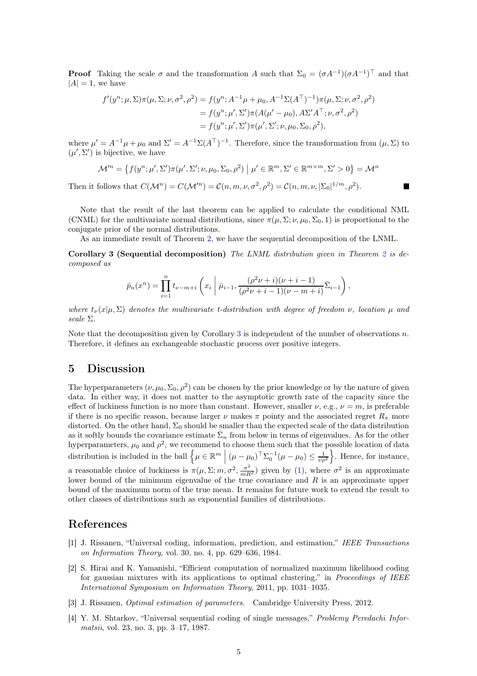**Proof** Taking the scale  $\sigma$  and the transformation A such that  $\Sigma_0 = (\sigma A^{-1})(\sigma A^{-1})^\top$  and that  $|A| = 1$ , we have

$$
f'(y^n; \mu, \Sigma) \pi(\mu, \Sigma; \nu, \sigma^2, \rho^2) = f(y^n; A^{-1}\mu + \mu_0, A^{-1}\Sigma(A^\top)^{-1})\pi(\mu, \Sigma; \nu, \sigma^2, \rho^2)
$$
  
=  $f(y^n; \mu', \Sigma')\pi(A(\mu' - \mu_0), A\Sigma'A^\top; \nu, \sigma^2, \rho^2)$   
=  $f(y^n; \mu', \Sigma')\pi(\mu', \Sigma'; \nu, \mu_0, \Sigma_0, \rho^2),$ 

where  $\mu' = A^{-1}\mu + \mu_0$  and  $\Sigma' = A^{-1}\Sigma(A^{\top})^{-1}$ . Therefore, since the transformation from  $(\mu, \Sigma)$  to  $(\mu', \Sigma')$  is bijective, we have

$$
\mathcal{M}'^n = \left\{ f(y^n; \mu', \Sigma') \pi(\mu', \Sigma'; \nu, \mu_0, \Sigma_0, \rho^2) \middle| \mu' \in \mathbb{R}^m, \Sigma' \in \mathbb{R}^{m \times m}, \Sigma' > 0 \right\} = \mathcal{M}^n
$$

Then it follows that  $C(\mathcal{M}^n) = C(\mathcal{M}^m) = C(n, m, \nu, \sigma^2, \rho^2) = C(n, m, \nu, |\Sigma_0|^{1/m}, \rho^2)$ .

Note that the result of the last theorem can be applied to calculate the conditional NML (CNML) for the multivariate normal distributions, since  $\pi(\mu, \Sigma; \nu, \mu_0, \Sigma_0, 1)$  is proportional to the conjugate prior of the normal distributions.

As an immediate result of Theorem [2,](#page-3-0) we have the sequential decomposition of the LNML.

Corollary 3 (Sequential decomposition) The LNML distribution given in Theorem [2](#page-3-0) is decomposed as

<span id="page-4-4"></span>
$$
\bar{p}_n(x^n) = \prod_{i=1}^n t_{\nu-m+i} \left( x_i \mid \bar{\mu}_{i-1}, \frac{(\rho^2 \nu + i)(\nu + i - 1)}{(\rho^2 \nu + i - 1)(\nu - m + i)} \bar{\Sigma}_{i-1} \right),
$$

where  $t_{\nu}(x|\mu,\Sigma)$  denotes the multivariate t-distribution with degree of freedom  $\nu$ , location  $\mu$  and scale Σ.

Note that the decomposition given by Corollary [3](#page-4-4) is independent of the number of observations n. Therefore, it defines an exchangeable stochastic process over positive integers.

#### 5 Discussion

The hyperparameters  $(\nu, \mu_0, \Sigma_0, \rho^2)$  can be chosen by the prior knowledge or by the nature of given data. In either way, it does not matter to the asymptotic growth rate of the capacity since the effect of luckiness function is no more than constant. However, smaller  $\nu$ , e.g.,  $\nu = m$ , is preferable if there is no specific reason, because larger  $\nu$  makes  $\pi$  pointy and the associated regret  $R_{\pi}$  more distorted. On the other hand,  $\Sigma_0$  should be smaller than the expected scale of the data distribution as it softly bounds the covariance estimate  $\bar{\Sigma}_n$  from below in terms of eigenvalues. As for the other hyperparameters,  $\mu_0$  and  $\rho^2$ , we recommend to choose them such that the possible location of data distribution is included in the ball  $\left\{\mu \in \mathbb{R}^m \; \middle| \; (\mu - \mu_0)^{\top} \Sigma_0^{-1} (\mu - \mu_0) \leq \frac{1}{\nu \rho^2} \right\}$ . Hence, for instance, a reasonable choice of luckiness is  $\pi(\mu, \Sigma; m, \sigma^2, \frac{\sigma^2}{mR^2})$  given by [\(1\)](#page-2-0), where  $\sigma^2$  is an approximate lower bound of the minimum eigenvalue of the true covariance and  $R$  is an approximate upper bound of the maximum norm of the true mean. It remains for future work to extend the result to other classes of distributions such as exponential families of distributions.

#### <span id="page-4-0"></span>References

- [1] J. Rissanen, "Universal coding, information, prediction, and estimation," IEEE Transactions on Information Theory, vol. 30, no. 4, pp. 629–636, 1984.
- <span id="page-4-1"></span>[2] S. Hirai and K. Yamanishi, "Efficient computation of normalized maximum likelihood coding for gaussian mixtures with its applications to optimal clustering," in Proceedings of IEEE International Symposium on Information Theory, 2011, pp. 1031–1035.
- <span id="page-4-3"></span><span id="page-4-2"></span>[3] J. Rissanen, Optimal estimation of parameters. Cambridge University Press, 2012.
- [4] Y. M. Shtarkov, "Universal sequential coding of single messages," Problemy Peredachi Informatsii, vol. 23, no. 3, pp. 3–17, 1987.